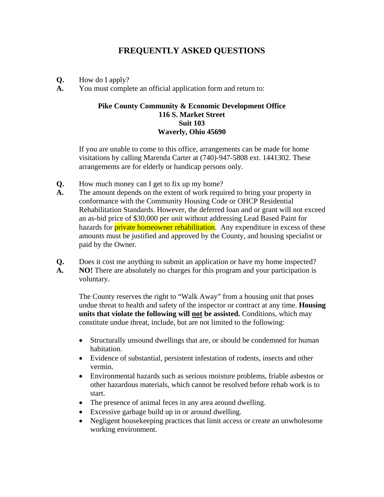## **FREQUENTLY ASKED QUESTIONS**

- **Q.** How do I apply?
- **A.** You must complete an official application form and return to:

## **Pike County Community & Economic Development Office 116 S. Market Street Suit 103 Waverly, Ohio 45690**

If you are unable to come to this office, arrangements can be made for home visitations by calling Marenda Carter at (740)-947-5808 ext. 1441302. These arrangements are for elderly or handicap persons only.

- **Q.** How much money can I get to fix up my home?
- **A.** The amount depends on the extent of work required to bring your property in conformance with the Community Housing Code or OHCP Residential Rehabilitation Standards. However, the deferred loan and or grant will not exceed an as-bid price of \$30,000 per unit without addressing Lead Based Paint for hazards for **private homeowner rehabilitation**. Any expenditure in excess of these amounts must be justified and approved by the County, and housing specialist or paid by the Owner.
- **Q.** Does it cost me anything to submit an application or have my home inspected? **A. NO!** There are absolutely no charges for this program and your participation is voluntary.

The County reserves the right to "Walk Away" from a housing unit that poses undue threat to health and safety of the inspector or contract at any time. **Housing units that violate the following will not be assisted.** Conditions, which may constitute undue threat, include, but are not limited to the following:

- Structurally unsound dwellings that are, or should be condemned for human habitation.
- Evidence of substantial, persistent infestation of rodents, insects and other vermin.
- Environmental hazards such as serious moisture problems, friable asbestos or other hazardous materials, which cannot be resolved before rehab work is to start.
- The presence of animal feces in any area around dwelling.
- Excessive garbage build up in or around dwelling.
- Negligent housekeeping practices that limit access or create an unwholesome working environment.